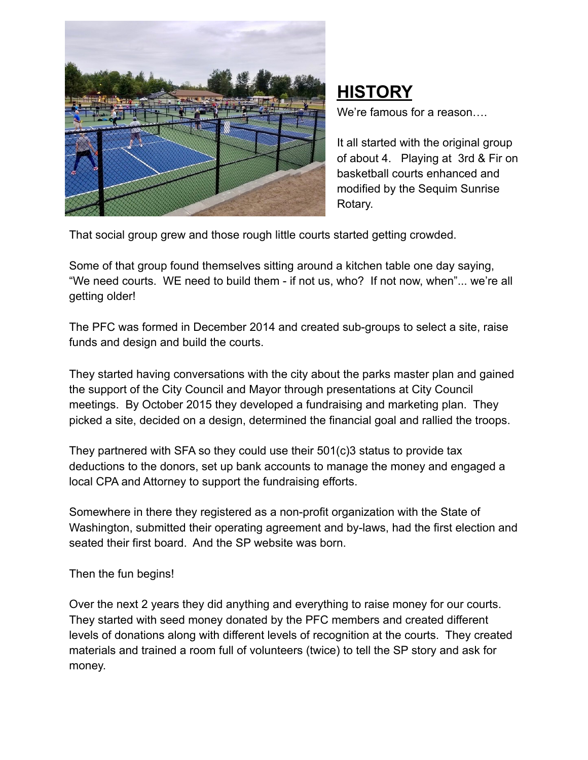

## **HISTORY**

We're famous for a reason….

It all started with the original group of about 4. Playing at 3rd & Fir on basketball courts enhanced and modified by the Sequim Sunrise Rotary.

That social group grew and those rough little courts started getting crowded.

Some of that group found themselves sitting around a kitchen table one day saying, "We need courts. WE need to build them - if not us, who? If not now, when"... we're all getting older!

The PFC was formed in December 2014 and created sub-groups to select a site, raise funds and design and build the courts.

They started having conversations with the city about the parks master plan and gained the support of the City Council and Mayor through presentations at City Council meetings. By October 2015 they developed a fundraising and marketing plan. They picked a site, decided on a design, determined the financial goal and rallied the troops.

They partnered with SFA so they could use their 501(c)3 status to provide tax deductions to the donors, set up bank accounts to manage the money and engaged a local CPA and Attorney to support the fundraising efforts.

Somewhere in there they registered as a non-profit organization with the State of Washington, submitted their operating agreement and by-laws, had the first election and seated their first board. And the SP website was born.

## Then the fun begins!

Over the next 2 years they did anything and everything to raise money for our courts. They started with seed money donated by the PFC members and created different levels of donations along with different levels of recognition at the courts. They created materials and trained a room full of volunteers (twice) to tell the SP story and ask for money.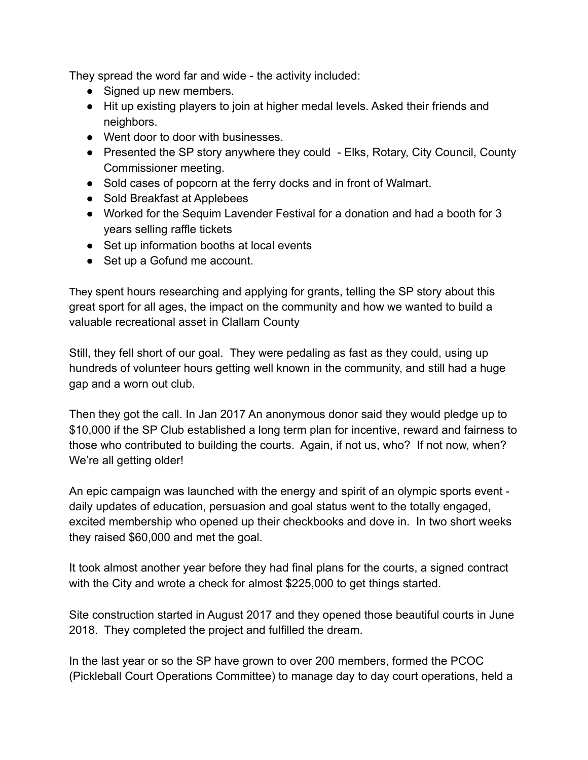They spread the word far and wide - the activity included:

- Signed up new members.
- Hit up existing players to join at higher medal levels. Asked their friends and neighbors.
- Went door to door with businesses.
- Presented the SP story anywhere they could Elks, Rotary, City Council, County Commissioner meeting.
- Sold cases of popcorn at the ferry docks and in front of Walmart.
- Sold Breakfast at Applebees
- Worked for the Sequim Lavender Festival for a donation and had a booth for 3 years selling raffle tickets
- Set up information booths at local events
- Set up a Gofund me account.

They spent hours researching and applying for grants, telling the SP story about this great sport for all ages, the impact on the community and how we wanted to build a valuable recreational asset in Clallam County

Still, they fell short of our goal. They were pedaling as fast as they could, using up hundreds of volunteer hours getting well known in the community, and still had a huge gap and a worn out club.

Then they got the call. In Jan 2017 An anonymous donor said they would pledge up to \$10,000 if the SP Club established a long term plan for incentive, reward and fairness to those who contributed to building the courts. Again, if not us, who? If not now, when? We're all getting older!

An epic campaign was launched with the energy and spirit of an olympic sports event daily updates of education, persuasion and goal status went to the totally engaged, excited membership who opened up their checkbooks and dove in. In two short weeks they raised \$60,000 and met the goal.

It took almost another year before they had final plans for the courts, a signed contract with the City and wrote a check for almost \$225,000 to get things started.

Site construction started in August 2017 and they opened those beautiful courts in June 2018. They completed the project and fulfilled the dream.

In the last year or so the SP have grown to over 200 members, formed the PCOC (Pickleball Court Operations Committee) to manage day to day court operations, held a